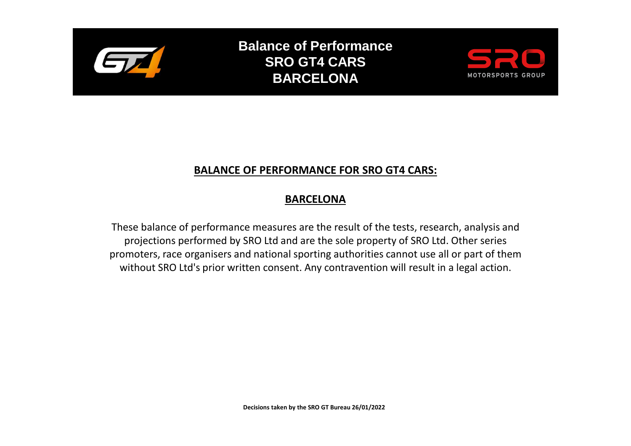

**Balance of Performance SRO GT4 CARS BARCELONA**



## **BALANCE OF PERFORMANCE FOR SRO GT4 CARS:**

## **BARCELONA**

These balance of performance measures are the result of the tests, research, analysis and projections performed by SRO Ltd and are the sole property of SRO Ltd. Other series promoters, race organisers and national sporting authorities cannot use all or part of them without SRO Ltd's prior written consent. Any contravention will result in a legal action.